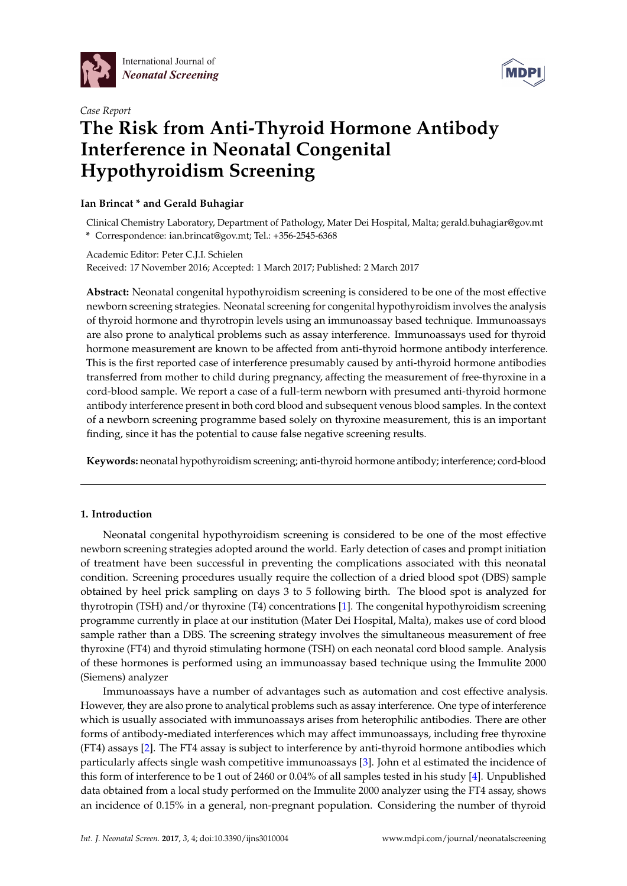



# *Case Report* **The Risk from Anti-Thyroid Hormone Antibody Interference in Neonatal Congenital Hypothyroidism Screening**

## **Ian Brincat \* and Gerald Buhagiar**

Clinical Chemistry Laboratory, Department of Pathology, Mater Dei Hospital, Malta; gerald.buhagiar@gov.mt **\*** Correspondence: ian.brincat@gov.mt; Tel.: +356-2545-6368

Academic Editor: Peter C.J.I. Schielen Received: 17 November 2016; Accepted: 1 March 2017; Published: 2 March 2017

**Abstract:** Neonatal congenital hypothyroidism screening is considered to be one of the most effective newborn screening strategies. Neonatal screening for congenital hypothyroidism involves the analysis of thyroid hormone and thyrotropin levels using an immunoassay based technique. Immunoassays are also prone to analytical problems such as assay interference. Immunoassays used for thyroid hormone measurement are known to be affected from anti-thyroid hormone antibody interference. This is the first reported case of interference presumably caused by anti-thyroid hormone antibodies transferred from mother to child during pregnancy, affecting the measurement of free-thyroxine in a cord-blood sample. We report a case of a full-term newborn with presumed anti-thyroid hormone antibody interference present in both cord blood and subsequent venous blood samples. In the context of a newborn screening programme based solely on thyroxine measurement, this is an important finding, since it has the potential to cause false negative screening results.

**Keywords:** neonatal hypothyroidism screening; anti-thyroid hormone antibody; interference; cord-blood

## **1. Introduction**

Neonatal congenital hypothyroidism screening is considered to be one of the most effective newborn screening strategies adopted around the world. Early detection of cases and prompt initiation of treatment have been successful in preventing the complications associated with this neonatal condition. Screening procedures usually require the collection of a dried blood spot (DBS) sample obtained by heel prick sampling on days 3 to 5 following birth. The blood spot is analyzed for thyrotropin (TSH) and/or thyroxine (T4) concentrations [\[1\]](#page-3-0). The congenital hypothyroidism screening programme currently in place at our institution (Mater Dei Hospital, Malta), makes use of cord blood sample rather than a DBS. The screening strategy involves the simultaneous measurement of free thyroxine (FT4) and thyroid stimulating hormone (TSH) on each neonatal cord blood sample. Analysis of these hormones is performed using an immunoassay based technique using the Immulite 2000 (Siemens) analyzer

Immunoassays have a number of advantages such as automation and cost effective analysis. However, they are also prone to analytical problems such as assay interference. One type of interference which is usually associated with immunoassays arises from heterophilic antibodies. There are other forms of antibody-mediated interferences which may affect immunoassays, including free thyroxine (FT4) assays [\[2\]](#page-3-1). The FT4 assay is subject to interference by anti-thyroid hormone antibodies which particularly affects single wash competitive immunoassays [\[3\]](#page-3-2). John et al estimated the incidence of this form of interference to be 1 out of 2460 or 0.04% of all samples tested in his study [\[4\]](#page-3-3). Unpublished data obtained from a local study performed on the Immulite 2000 analyzer using the FT4 assay, shows an incidence of 0.15% in a general, non-pregnant population. Considering the number of thyroid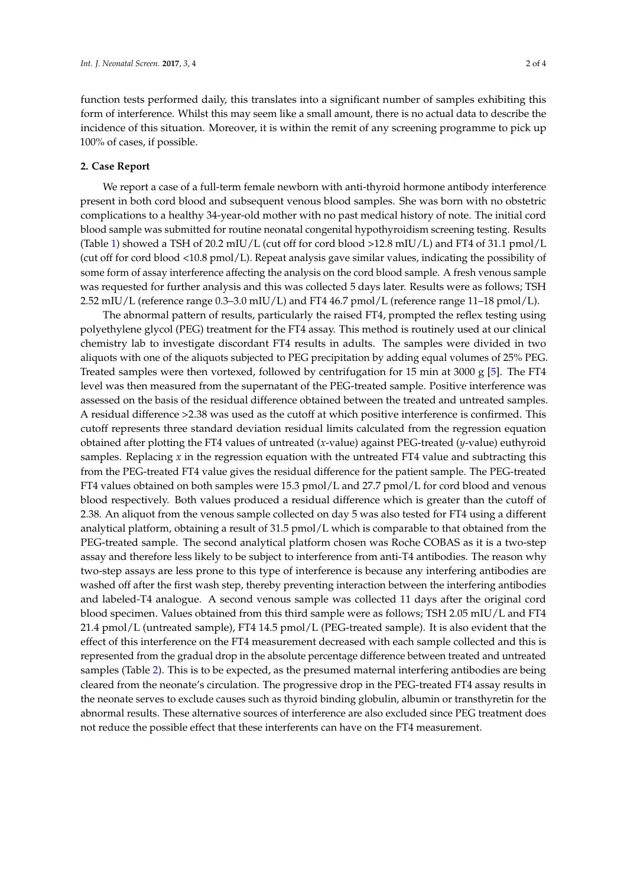function tests performed daily, this translates into a significant number of samples exhibiting this form of interference. Whilst this may seem like a small amount, there is no actual data to describe the incidence of this situation. Moreover, it is within the remit of any screening programme to pick up 100% of cases, if possible.

### **2. Case Report**

We report a case of a full-term female newborn with anti-thyroid hormone antibody interference present in both cord blood and subsequent venous blood samples. She was born with no obstetric complications to a healthy 34-year-old mother with no past medical history of note. The initial cord blood sample was submitted for routine neonatal congenital hypothyroidism screening testing. Results (Table [1\)](#page-2-0) showed a TSH of 20.2 mIU/L (cut off for cord blood  $>12.8$  mIU/L) and FT4 of 31.1 pmol/L (cut off for cord blood <10.8 pmol/L). Repeat analysis gave similar values, indicating the possibility of some form of assay interference affecting the analysis on the cord blood sample. A fresh venous sample was requested for further analysis and this was collected 5 days later. Results were as follows; TSH 2.52 mIU/L (reference range 0.3–3.0 mIU/L) and FT4 46.7 pmol/L (reference range 11–18 pmol/L).

The abnormal pattern of results, particularly the raised FT4, prompted the reflex testing using polyethylene glycol (PEG) treatment for the FT4 assay. This method is routinely used at our clinical chemistry lab to investigate discordant FT4 results in adults. The samples were divided in two aliquots with one of the aliquots subjected to PEG precipitation by adding equal volumes of 25% PEG. Treated samples were then vortexed, followed by centrifugation for 15 min at 3000 g [\[5\]](#page-3-4). The FT4 level was then measured from the supernatant of the PEG-treated sample. Positive interference was assessed on the basis of the residual difference obtained between the treated and untreated samples. A residual difference >2.38 was used as the cutoff at which positive interference is confirmed. This cutoff represents three standard deviation residual limits calculated from the regression equation obtained after plotting the FT4 values of untreated (*x*-value) against PEG-treated (*y*-value) euthyroid samples. Replacing *x* in the regression equation with the untreated FT4 value and subtracting this from the PEG-treated FT4 value gives the residual difference for the patient sample. The PEG-treated FT4 values obtained on both samples were 15.3 pmol/L and 27.7 pmol/L for cord blood and venous blood respectively. Both values produced a residual difference which is greater than the cutoff of 2.38. An aliquot from the venous sample collected on day 5 was also tested for FT4 using a different analytical platform, obtaining a result of 31.5 pmol/L which is comparable to that obtained from the PEG-treated sample. The second analytical platform chosen was Roche COBAS as it is a two-step assay and therefore less likely to be subject to interference from anti-T4 antibodies. The reason why two-step assays are less prone to this type of interference is because any interfering antibodies are washed off after the first wash step, thereby preventing interaction between the interfering antibodies and labeled-T4 analogue. A second venous sample was collected 11 days after the original cord blood specimen. Values obtained from this third sample were as follows; TSH 2.05 mIU/L and FT4 21.4 pmol/L (untreated sample), FT4 14.5 pmol/L (PEG-treated sample). It is also evident that the effect of this interference on the FT4 measurement decreased with each sample collected and this is represented from the gradual drop in the absolute percentage difference between treated and untreated samples (Table [2\)](#page-2-1). This is to be expected, as the presumed maternal interfering antibodies are being cleared from the neonate's circulation. The progressive drop in the PEG-treated FT4 assay results in the neonate serves to exclude causes such as thyroid binding globulin, albumin or transthyretin for the abnormal results. These alternative sources of interference are also excluded since PEG treatment does not reduce the possible effect that these interferents can have on the FT4 measurement.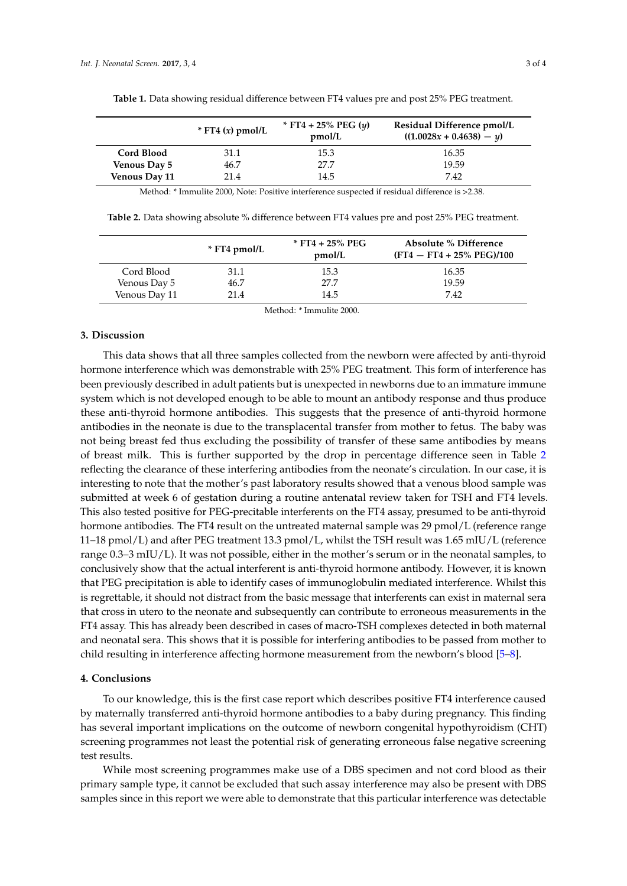|                      | $*$ FT4 $(x)$ pmol/L | * FT4 + 25% PEG $(y)$<br>pmol/L | Residual Difference pmol/L<br>$((1.0028x + 0.4638) - y)$ |
|----------------------|----------------------|---------------------------------|----------------------------------------------------------|
| Cord Blood           | 31.1                 | 15.3                            | 16.35                                                    |
| <b>Venous Day 5</b>  | 46.7                 | 27.7                            | 19.59                                                    |
| <b>Venous Day 11</b> | 214                  | 14.5                            | 7.42                                                     |

<span id="page-2-0"></span>**Table 1.** Data showing residual difference between FT4 values pre and post 25% PEG treatment.

Method: \* Immulite 2000, Note: Positive interference suspected if residual difference is >2.38.

<span id="page-2-1"></span>**Table 2.** Data showing absolute % difference between FT4 values pre and post 25% PEG treatment.

|               | $*$ FT4 pmol/L | * $FT4 + 25\%$ PEG<br>pmol/L | Absolute % Difference<br>$(FT4 - FT4 + 25\% PEG)/100$ |
|---------------|----------------|------------------------------|-------------------------------------------------------|
| Cord Blood    | 31.1           | 15.3                         | 16.35                                                 |
| Venous Day 5  | 46.7           | 27.7                         | 19.59                                                 |
| Venous Day 11 | 21.4           | 14.5                         | 7.42                                                  |

Method: \* Immulite 2000.

## **3. Discussion**

This data shows that all three samples collected from the newborn were affected by anti-thyroid hormone interference which was demonstrable with 25% PEG treatment. This form of interference has been previously described in adult patients but is unexpected in newborns due to an immature immune system which is not developed enough to be able to mount an antibody response and thus produce these anti-thyroid hormone antibodies. This suggests that the presence of anti-thyroid hormone antibodies in the neonate is due to the transplacental transfer from mother to fetus. The baby was not being breast fed thus excluding the possibility of transfer of these same antibodies by means of breast milk. This is further supported by the drop in percentage difference seen in Table [2](#page-2-1) reflecting the clearance of these interfering antibodies from the neonate's circulation. In our case, it is interesting to note that the mother's past laboratory results showed that a venous blood sample was submitted at week 6 of gestation during a routine antenatal review taken for TSH and FT4 levels. This also tested positive for PEG-precitable interferents on the FT4 assay, presumed to be anti-thyroid hormone antibodies. The FT4 result on the untreated maternal sample was 29 pmol/L (reference range 11–18 pmol/L) and after PEG treatment 13.3 pmol/L, whilst the TSH result was 1.65 mIU/L (reference range 0.3–3 mIU/L). It was not possible, either in the mother's serum or in the neonatal samples, to conclusively show that the actual interferent is anti-thyroid hormone antibody. However, it is known that PEG precipitation is able to identify cases of immunoglobulin mediated interference. Whilst this is regrettable, it should not distract from the basic message that interferents can exist in maternal sera that cross in utero to the neonate and subsequently can contribute to erroneous measurements in the FT4 assay. This has already been described in cases of macro-TSH complexes detected in both maternal and neonatal sera. This shows that it is possible for interfering antibodies to be passed from mother to child resulting in interference affecting hormone measurement from the newborn's blood [\[5–](#page-3-4)[8\]](#page-3-5).

#### **4. Conclusions**

To our knowledge, this is the first case report which describes positive FT4 interference caused by maternally transferred anti-thyroid hormone antibodies to a baby during pregnancy. This finding has several important implications on the outcome of newborn congenital hypothyroidism (CHT) screening programmes not least the potential risk of generating erroneous false negative screening test results.

While most screening programmes make use of a DBS specimen and not cord blood as their primary sample type, it cannot be excluded that such assay interference may also be present with DBS samples since in this report we were able to demonstrate that this particular interference was detectable